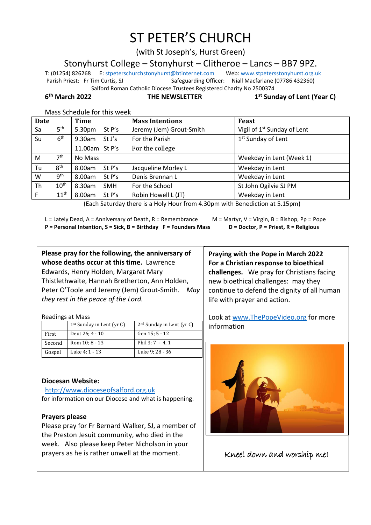# ST PETER'S CHURCH

(with St Joseph's, Hurst Green)

Stonyhurst College – Stonyhurst – Clitheroe – Lancs – BB7 9PZ.

T: (01254) 826268 E[: stpeterschurchstonyhurst@btinternet.com](mailto:stpeterschurchstonyhurst@btinternet.com) Web[: www.stpetersstonyhurst.org.uk](http://www.stpetersstonyhurst.org.uk/) Parish Priest: Fr Tim Curtis, SJ Safeguarding Officer: Niall Macfarlane (07786 432360) Salford Roman Catholic Diocese Trustees Registered Charity No 2500374

6<sup>th</sup> March 2022

**THE NEWSLETTER** 

**st Sunday of Lent (Year C)**

|  | Mass Schedule for this week |
|--|-----------------------------|
|--|-----------------------------|

| <b>Date</b> |                  | <b>Time</b>          | <b>Mass Intentions</b>   | Feast                                   |
|-------------|------------------|----------------------|--------------------------|-----------------------------------------|
| Sa          | 5 <sup>th</sup>  | 5.30pm<br>St P's     | Jeremy (Jem) Grout-Smith | Vigil of 1 <sup>st</sup> Sunday of Lent |
| Su          | 6 <sup>th</sup>  | $9.30$ am<br>St J's  | For the Parish           | 1 <sup>st</sup> Sunday of Lent          |
|             |                  | 11.00am St P's       | For the college          |                                         |
| M           | 7 <sup>th</sup>  | No Mass              |                          | Weekday in Lent (Week 1)                |
| Tu          | 8 <sup>th</sup>  | 8.00am<br>St $P's$   | Jacqueline Morley L      | Weekday in Lent                         |
| W           | 9 <sup>th</sup>  | 8.00am<br>St $P's$   | Denis Brennan L          | Weekday in Lent                         |
| Th          | 10 <sup>th</sup> | 8.30am<br><b>SMH</b> | For the School           | St John Ogilvie SJ PM                   |
| F           | $11^{\text{th}}$ | 8.00am<br>St P's     | Robin Howell L (JT)      | Weekday in Lent                         |

(Each Saturday there is a Holy Hour from 4.30pm with Benediction at 5.15pm)

L = Lately Dead, A = Anniversary of Death, R = Remembrance  $M =$  M = Martyr, V = Virgin, B = Bishop, Pp = Pope **P = Personal Intention, S = Sick, B = Birthday F = Founders Mass D = Doctor, P = Priest, R = Religious**

**Please pray for the following, the anniversary of whose deaths occur at this time.** Lawrence Edwards, Henry Holden, Margaret Mary Thistlethwaite, Hannah Bretherton, Ann Holden, Peter O'Toole and Jeremy (Jem) Grout-Smith. *May they rest in the peace of the Lord.*

Readings at Mass

|        | $1st$ Sunday in Lent (yr C) | 2 <sup>nd</sup> Sunday in Lent (yr C) |
|--------|-----------------------------|---------------------------------------|
| First  | Deut 26: 4 - 10             | Gen 15: 5 - 12                        |
| Second | Rom 10; 8 - 13              | Phil $3:7 - 4, 1$                     |
| Gospel | Luke 4; 1 - 13              | Luke 9: 28 - 36                       |

# **Diocesan Website:**

http://www.dioceseofsalford.org.uk for information on our Diocese and what is happening.

# **Prayers please**

Please pray for Fr Bernard Walker, SJ, a member of the Preston Jesuit community, who died in the week. Also please keep Peter Nicholson in your prayers as he is rather unwell at the moment.

**Praying with the Pope in March 2022 For a Christian response to bioethical challenges.** We pray for Christians facing new bioethical challenges: may they continue to defend the dignity of all human life with prayer and action.

Look at www.ThePopeVideo.org for more information



Kneel down and worship me!